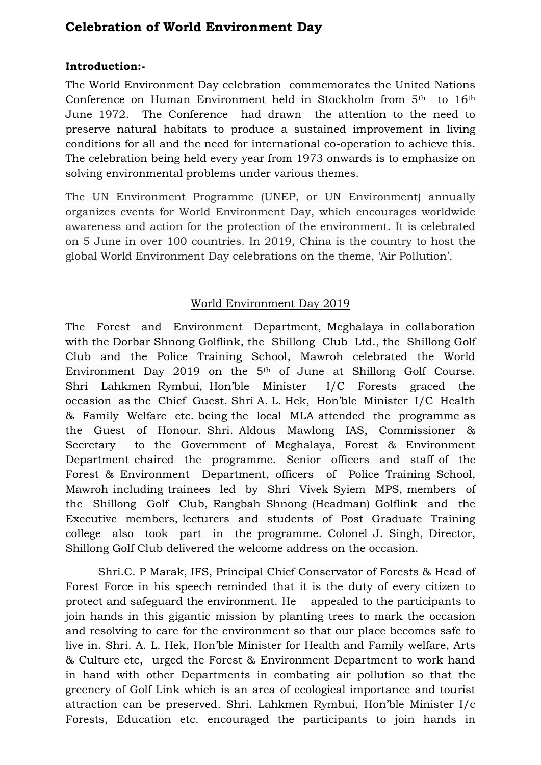## **Celebration of World Environment Day**

## **Introduction:-**

The World Environment Day celebration commemorates the United Nations Conference on Human Environment held in Stockholm from 5<sup>th</sup> to 16<sup>th</sup> June 1972. The Conference had drawn the attention to the need to preserve natural habitats to produce a sustained improvement in living conditions for all and the need for international co-operation to achieve this. The celebration being held every year from 1973 onwards is to emphasize on solving environmental problems under various themes.

The UN Environment Programme (UNEP, or UN Environment) annually organizes events for World Environment Day, which encourages worldwide awareness and action for the protection of the environment. It is celebrated on 5 June in over 100 countries. In 2019, China is the country to host the global World Environment Day celebrations on the theme, 'Air Pollution'.

## World Environment Day 2019

The Forest and Environment Department, Meghalaya in collaboration with the Dorbar Shnong Golflink, the Shillong Club Ltd., the Shillong Golf Club and the Police Training School, Mawroh celebrated the World Environment Day 2019 on the 5<sup>th</sup> of June at Shillong Golf Course. Shri Lahkmen Rymbui, Hon'ble Minister I/C Forests graced the occasion as the Chief Guest. Shri A. L. Hek, Hon'ble Minister I/C Health & Family Welfare etc. being the local MLA attended the programme as the Guest of Honour. Shri. Aldous Mawlong IAS, Commissioner & Secretary to the Government of Meghalaya, Forest & Environment Department chaired the programme. Senior officers and staff of the Forest & Environment Department, officers of Police Training School, Mawroh including trainees led by Shri Vivek Syiem MPS, members of the Shillong Golf Club, Rangbah Shnong (Headman) Golflink and the Executive members, lecturers and students of Post Graduate Training college also took part in the programme. Colonel J. Singh, Director, Shillong Golf Club delivered the welcome address on the occasion.

Shri.C. P Marak, IFS, Principal Chief Conservator of Forests & Head of Forest Force in his speech reminded that it is the duty of every citizen to protect and safeguard the environment. He appealed to the participants to join hands in this gigantic mission by planting trees to mark the occasion and resolving to care for the environment so that our place becomes safe to live in. Shri. A. L. Hek, Hon'ble Minister for Health and Family welfare, Arts & Culture etc, urged the Forest & Environment Department to work hand in hand with other Departments in combating air pollution so that the greenery of Golf Link which is an area of ecological importance and tourist attraction can be preserved. Shri. Lahkmen Rymbui, Hon'ble Minister I/c Forests, Education etc. encouraged the participants to join hands in